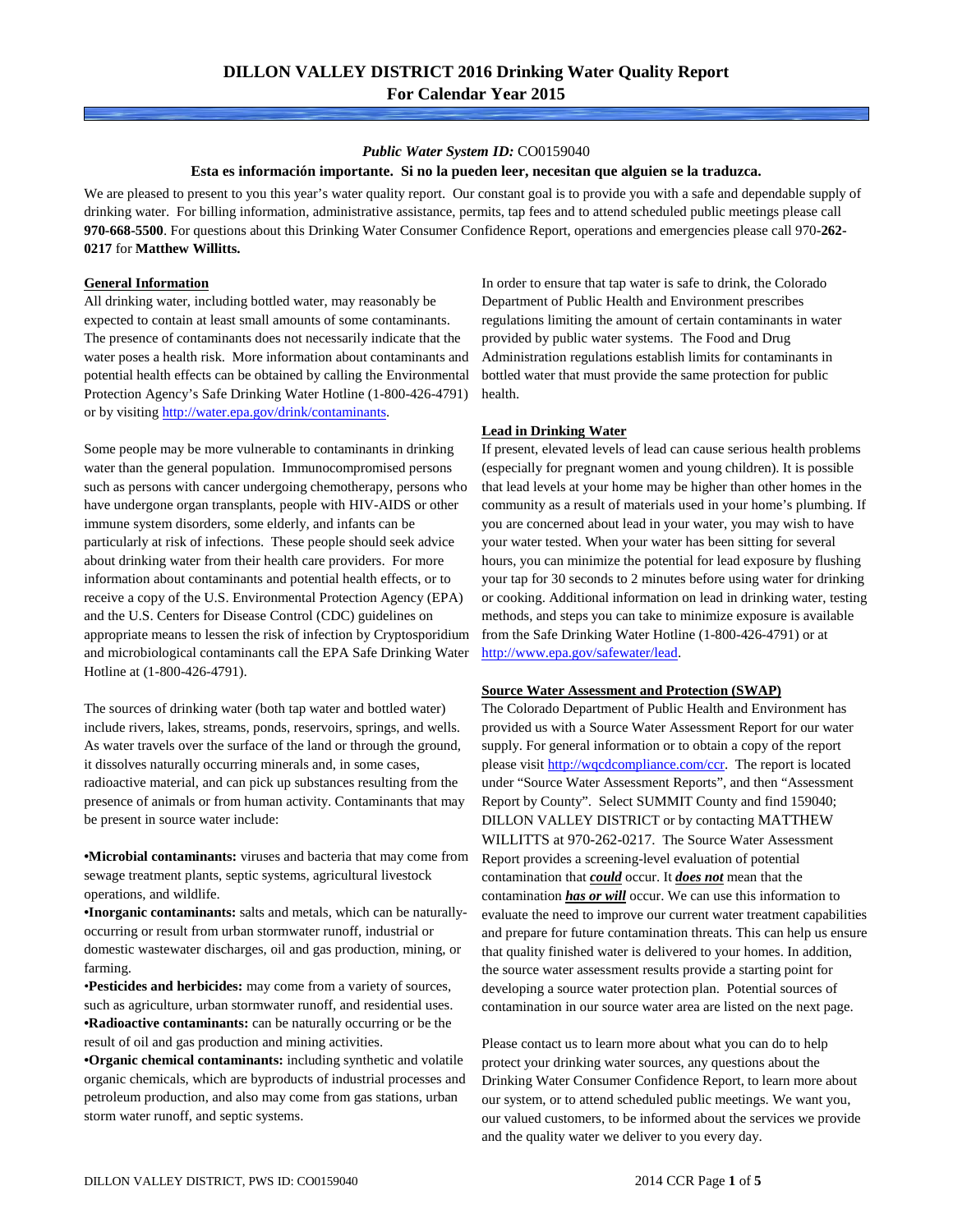#### *Public Water System ID:* CO0159040

#### **Esta es información importante. Si no la pueden leer, necesitan que alguien se la traduzca.**

We are pleased to present to you this year's water quality report. Our constant goal is to provide you with a safe and dependable supply of drinking water. For billing information, administrative assistance, permits, tap fees and to attend scheduled public meetings please call **970-668-5500**. For questions about this Drinking Water Consumer Confidence Report, operations and emergencies please call 970**-262- 0217** for **Matthew Willitts.**

#### **General Information**

All drinking water, including bottled water, may reasonably be expected to contain at least small amounts of some contaminants. The presence of contaminants does not necessarily indicate that the water poses a health risk. More information about contaminants and potential health effects can be obtained by calling the Environmental Protection Agency's Safe Drinking Water Hotline (1-800-426-4791) or by visiting [http://water.epa.gov/drink/contaminants.](http://water.epa.gov/drink/contaminants)

Some people may be more vulnerable to contaminants in drinking water than the general population. Immunocompromised persons such as persons with cancer undergoing chemotherapy, persons who have undergone organ transplants, people with HIV-AIDS or other immune system disorders, some elderly, and infants can be particularly at risk of infections. These people should seek advice about drinking water from their health care providers. For more information about contaminants and potential health effects, or to receive a copy of the U.S. Environmental Protection Agency (EPA) and the U.S. Centers for Disease Control (CDC) guidelines on appropriate means to lessen the risk of infection by Cryptosporidium and microbiological contaminants call the EPA Safe Drinking Water Hotline at (1-800-426-4791).

The sources of drinking water (both tap water and bottled water) include rivers, lakes, streams, ponds, reservoirs, springs, and wells. As water travels over the surface of the land or through the ground, it dissolves naturally occurring minerals and, in some cases, radioactive material, and can pick up substances resulting from the presence of animals or from human activity. Contaminants that may be present in source water include:

**•Microbial contaminants:** viruses and bacteria that may come from sewage treatment plants, septic systems, agricultural livestock operations, and wildlife.

**•Inorganic contaminants:** salts and metals, which can be naturallyoccurring or result from urban stormwater runoff, industrial or domestic wastewater discharges, oil and gas production, mining, or farming.

•**Pesticides and herbicides:** may come from a variety of sources, such as agriculture, urban stormwater runoff, and residential uses. **•Radioactive contaminants:** can be naturally occurring or be the result of oil and gas production and mining activities.

**•Organic chemical contaminants:** including synthetic and volatile organic chemicals, which are byproducts of industrial processes and petroleum production, and also may come from gas stations, urban storm water runoff, and septic systems.

In order to ensure that tap water is safe to drink, the Colorado Department of Public Health and Environment prescribes regulations limiting the amount of certain contaminants in water provided by public water systems. The Food and Drug Administration regulations establish limits for contaminants in bottled water that must provide the same protection for public health.

#### **Lead in Drinking Water**

If present, elevated levels of lead can cause serious health problems (especially for pregnant women and young children). It is possible that lead levels at your home may be higher than other homes in the community as a result of materials used in your home's plumbing. If you are concerned about lead in your water, you may wish to have your water tested. When your water has been sitting for several hours, you can minimize the potential for lead exposure by flushing your tap for 30 seconds to 2 minutes before using water for drinking or cooking. Additional information on lead in drinking water, testing methods, and steps you can take to minimize exposure is available from the Safe Drinking Water Hotline (1-800-426-4791) or at [http://www.epa.gov/safewater/lead.](http://www.epa.gov/safewater/lead) 

#### **Source Water Assessment and Protection (SWAP)**

The Colorado Department of Public Health and Environment has provided us with a Source Water Assessment Report for our water supply. For general information or to obtain a copy of the report please visit [http://wqcdcompliance.com/ccr.](http://wqcdcompliance.com/ccr) The report is located under "Source Water Assessment Reports", and then "Assessment Report by County". Select SUMMIT County and find 159040; DILLON VALLEY DISTRICT or by contacting MATTHEW WILLITTS at 970-262-0217. The Source Water Assessment Report provides a screening-level evaluation of potential contamination that *could* occur. It *does not* mean that the contamination *has or will* occur. We can use this information to evaluate the need to improve our current water treatment capabilities and prepare for future contamination threats. This can help us ensure that quality finished water is delivered to your homes. In addition, the source water assessment results provide a starting point for developing a source water protection plan. Potential sources of contamination in our source water area are listed on the next page.

Please contact us to learn more about what you can do to help protect your drinking water sources, any questions about the Drinking Water Consumer Confidence Report, to learn more about our system, or to attend scheduled public meetings. We want you, our valued customers, to be informed about the services we provide and the quality water we deliver to you every day.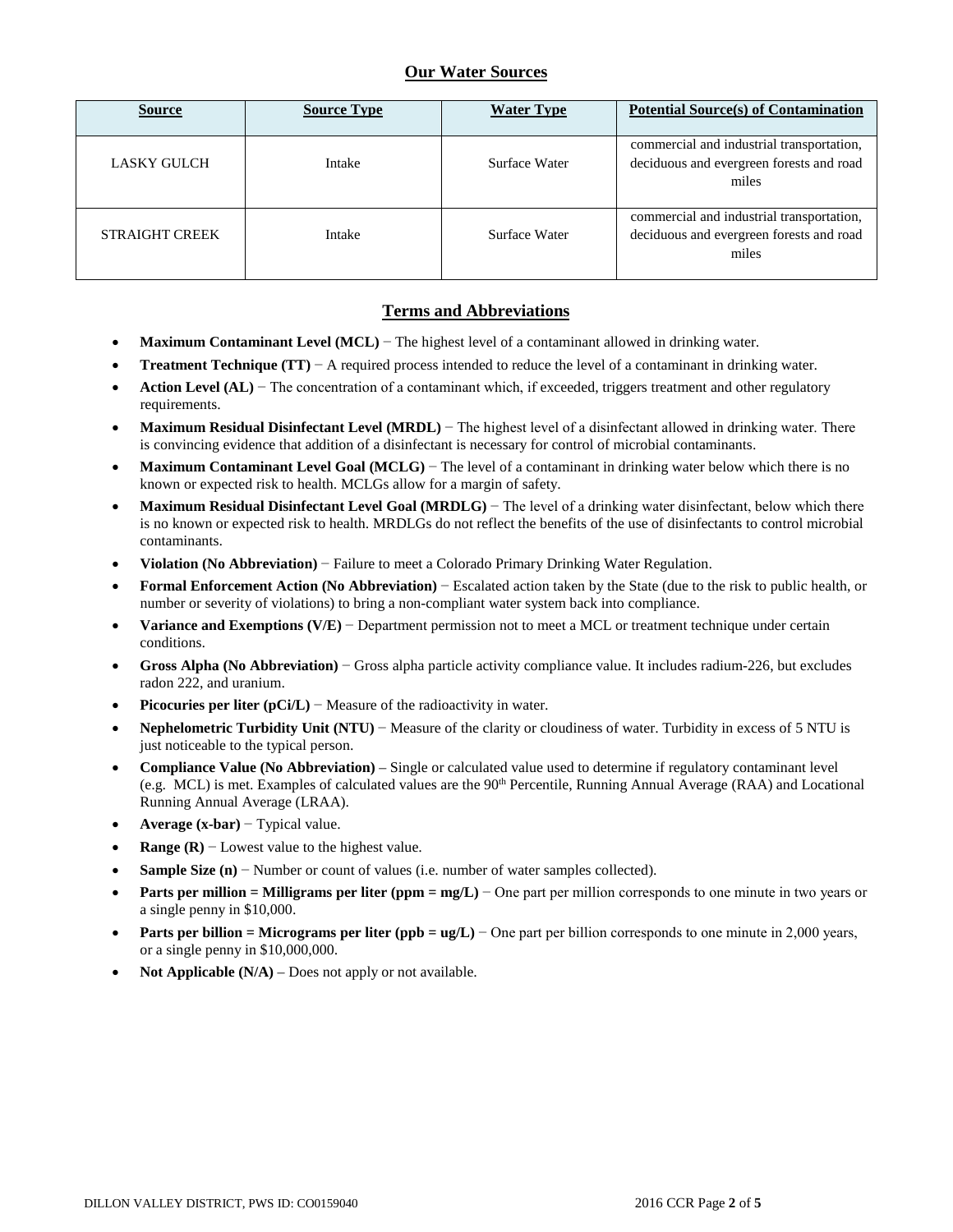## **Our Water Sources**

| <b>Source</b>         | <b>Source Type</b> | <b>Water Type</b> | <b>Potential Source(s) of Contamination</b>                                                    |
|-----------------------|--------------------|-------------------|------------------------------------------------------------------------------------------------|
| LASKY GULCH           | Intake             | Surface Water     | commercial and industrial transportation,<br>deciduous and evergreen forests and road<br>miles |
| <b>STRAIGHT CREEK</b> | Intake             | Surface Water     | commercial and industrial transportation,<br>deciduous and evergreen forests and road<br>miles |

### **Terms and Abbreviations**

- **Maximum Contaminant Level (MCL)** − The highest level of a contaminant allowed in drinking water.
- **Treatment Technique (TT)**  $A$  required process intended to reduce the level of a contaminant in drinking water.
- **Action Level (AL)** − The concentration of a contaminant which, if exceeded, triggers treatment and other regulatory requirements.
- **Maximum Residual Disinfectant Level (MRDL)** − The highest level of a disinfectant allowed in drinking water. There is convincing evidence that addition of a disinfectant is necessary for control of microbial contaminants.
- **Maximum Contaminant Level Goal (MCLG)** − The level of a contaminant in drinking water below which there is no known or expected risk to health. MCLGs allow for a margin of safety.
- **Maximum Residual Disinfectant Level Goal (MRDLG)** − The level of a drinking water disinfectant, below which there is no known or expected risk to health. MRDLGs do not reflect the benefits of the use of disinfectants to control microbial contaminants.
- **Violation (No Abbreviation)** − Failure to meet a Colorado Primary Drinking Water Regulation.
- **Formal Enforcement Action (No Abbreviation)** − Escalated action taken by the State (due to the risk to public health, or number or severity of violations) to bring a non-compliant water system back into compliance.
- **Variance and Exemptions (V/E)** − Department permission not to meet a MCL or treatment technique under certain conditions.
- **Gross Alpha (No Abbreviation)** − Gross alpha particle activity compliance value. It includes radium-226, but excludes radon 222, and uranium.
- **Picocuries per liter (pCi/L)** − Measure of the radioactivity in water.
- **Nephelometric Turbidity Unit (NTU)** − Measure of the clarity or cloudiness of water. Turbidity in excess of 5 NTU is just noticeable to the typical person.
- **Compliance Value (No Abbreviation)** Single or calculated value used to determine if regulatory contaminant level (e.g. MCL) is met. Examples of calculated values are the 90<sup>th</sup> Percentile, Running Annual Average (RAA) and Locational Running Annual Average (LRAA).
- **Average (x-bar)** − Typical value.
- **Range (R)**  $-$  Lowest value to the highest value.
- **Sample Size (n)** − Number or count of values (i.e. number of water samples collected).
- **Parts per million = Milligrams per liter (ppm = mg/L)** − One part per million corresponds to one minute in two years or a single penny in \$10,000.
- **Parts per billion = Micrograms per liter (ppb = ug/L)** − One part per billion corresponds to one minute in 2,000 years, or a single penny in \$10,000,000.
- **Not Applicable**  $(N/A)$  **Does not apply or not available.**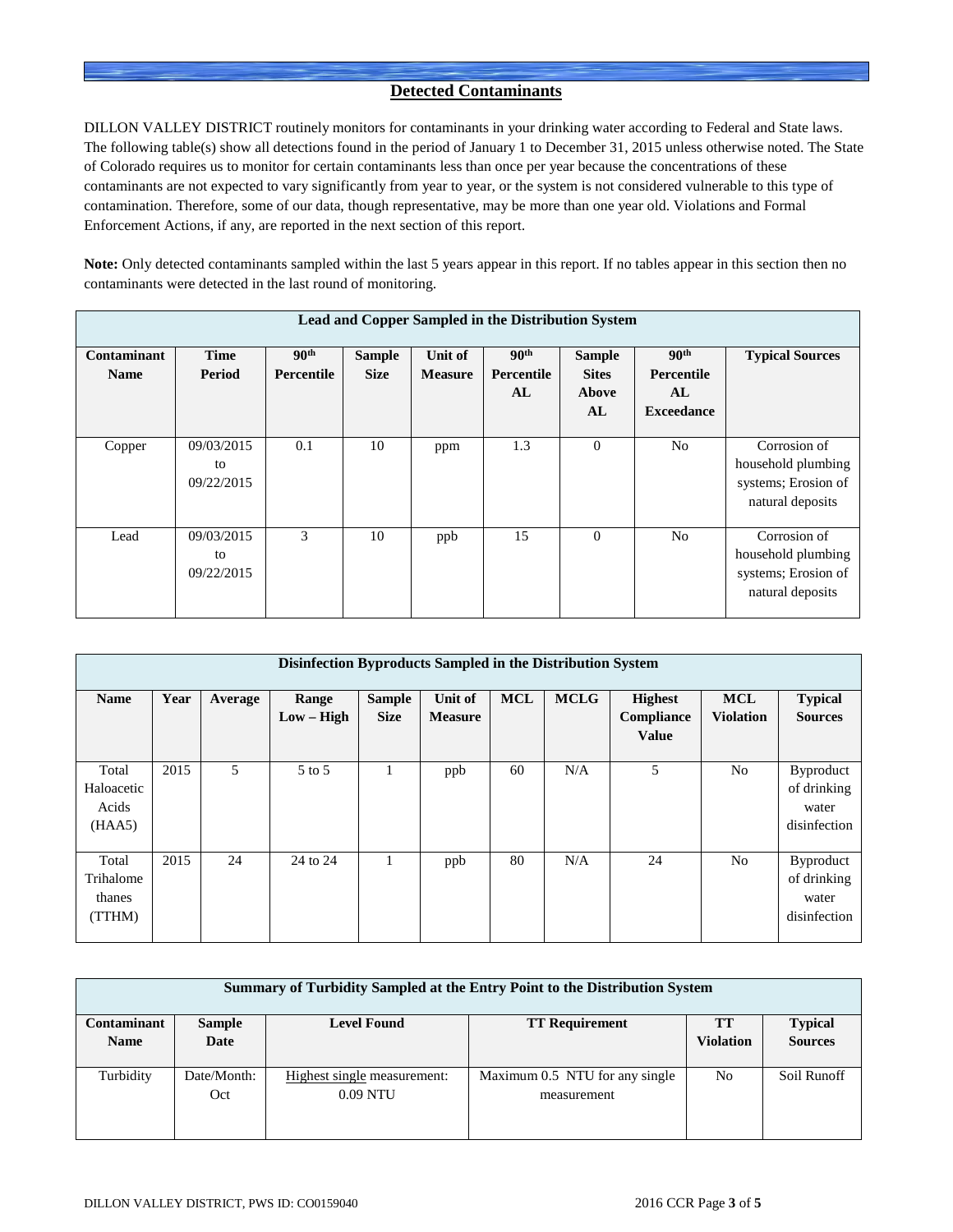## **Detected Contaminants**

DILLON VALLEY DISTRICT routinely monitors for contaminants in your drinking water according to Federal and State laws. The following table(s) show all detections found in the period of January 1 to December 31, 2015 unless otherwise noted. The State of Colorado requires us to monitor for certain contaminants less than once per year because the concentrations of these contaminants are not expected to vary significantly from year to year, or the system is not considered vulnerable to this type of contamination. Therefore, some of our data, though representative, may be more than one year old. Violations and Formal Enforcement Actions, if any, are reported in the next section of this report.

**Note:** Only detected contaminants sampled within the last 5 years appear in this report. If no tables appear in this section then no contaminants were detected in the last round of monitoring.

| Lead and Copper Sampled in the Distribution System |                                |                                       |                              |                           |                                      |                                              |                                                           |                                                                               |  |  |
|----------------------------------------------------|--------------------------------|---------------------------------------|------------------------------|---------------------------|--------------------------------------|----------------------------------------------|-----------------------------------------------------------|-------------------------------------------------------------------------------|--|--|
| Contaminant<br><b>Name</b>                         | <b>Time</b><br>Period          | 90 <sup>th</sup><br><b>Percentile</b> | <b>Sample</b><br><b>Size</b> | Unit of<br><b>Measure</b> | 90 <sup>th</sup><br>Percentile<br>AL | <b>Sample</b><br><b>Sites</b><br>Above<br>AL | 90 <sup>th</sup><br>Percentile<br>AL<br><b>Exceedance</b> | <b>Typical Sources</b>                                                        |  |  |
| Copper                                             | 09/03/2015<br>to<br>09/22/2015 | 0.1                                   | 10                           | ppm                       | 1.3                                  | $\overline{0}$                               | N <sub>0</sub>                                            | Corrosion of<br>household plumbing<br>systems; Erosion of<br>natural deposits |  |  |
| Lead                                               | 09/03/2015<br>to<br>09/22/2015 | 3                                     | 10                           | ppb                       | 15                                   | $\Omega$                                     | N <sub>0</sub>                                            | Corrosion of<br>household plumbing<br>systems; Erosion of<br>natural deposits |  |  |

|                                        | Disinfection Byproducts Sampled in the Distribution System |         |                       |                              |                           |            |             |                                              |                                |                                                          |  |
|----------------------------------------|------------------------------------------------------------|---------|-----------------------|------------------------------|---------------------------|------------|-------------|----------------------------------------------|--------------------------------|----------------------------------------------------------|--|
| <b>Name</b>                            | Year                                                       | Average | Range<br>$Low - High$ | <b>Sample</b><br><b>Size</b> | Unit of<br><b>Measure</b> | <b>MCL</b> | <b>MCLG</b> | <b>Highest</b><br>Compliance<br><b>Value</b> | <b>MCL</b><br><b>Violation</b> | <b>Typical</b><br><b>Sources</b>                         |  |
| Total<br>Haloacetic<br>Acids<br>(HAA5) | 2015                                                       | 5       | $5$ to $5$            |                              | ppb                       | 60         | N/A         | 5                                            | N <sub>o</sub>                 | <b>Byproduct</b><br>of drinking<br>water<br>disinfection |  |
| Total<br>Trihalome<br>thanes<br>(TTHM) | 2015                                                       | 24      | 24 to 24              |                              | ppb                       | 80         | N/A         | 24                                           | N <sub>0</sub>                 | <b>Byproduct</b><br>of drinking<br>water<br>disinfection |  |

| Summary of Turbidity Sampled at the Entry Point to the Distribution System |               |                             |                                |                  |                |  |  |  |  |
|----------------------------------------------------------------------------|---------------|-----------------------------|--------------------------------|------------------|----------------|--|--|--|--|
| <b>Contaminant</b>                                                         | <b>Sample</b> | <b>Level Found</b>          | <b>TT Requirement</b>          | TТ               | <b>Typical</b> |  |  |  |  |
| <b>Name</b>                                                                | Date          |                             |                                | <b>Violation</b> | <b>Sources</b> |  |  |  |  |
|                                                                            |               |                             |                                |                  |                |  |  |  |  |
| Turbidity                                                                  | Date/Month:   | Highest single measurement: | Maximum 0.5 NTU for any single | N <sub>0</sub>   | Soil Runoff    |  |  |  |  |
|                                                                            | Oct           | $0.09$ NTU                  | measurement                    |                  |                |  |  |  |  |
|                                                                            |               |                             |                                |                  |                |  |  |  |  |
|                                                                            |               |                             |                                |                  |                |  |  |  |  |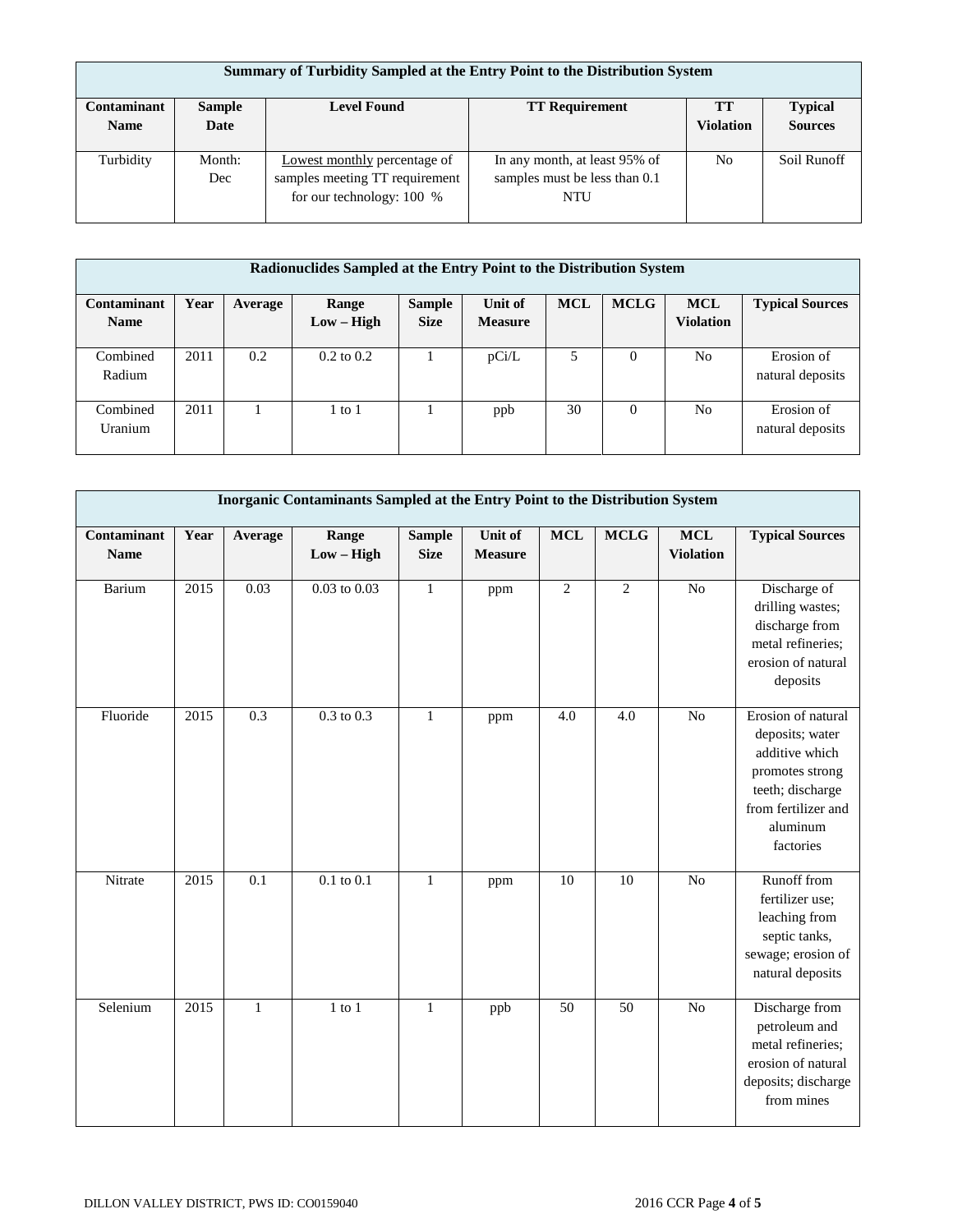|             | Summary of Turbidity Sampled at the Entry Point to the Distribution System |                                |                               |                  |                |  |  |  |  |  |
|-------------|----------------------------------------------------------------------------|--------------------------------|-------------------------------|------------------|----------------|--|--|--|--|--|
| Contaminant | <b>Sample</b>                                                              | <b>Level Found</b>             | <b>TT Requirement</b>         | <b>TT</b>        | <b>Typical</b> |  |  |  |  |  |
| <b>Name</b> | Date                                                                       |                                |                               | <b>Violation</b> | <b>Sources</b> |  |  |  |  |  |
|             |                                                                            |                                |                               |                  |                |  |  |  |  |  |
| Turbidity   | Month:                                                                     | Lowest monthly percentage of   | In any month, at least 95% of | N <sub>0</sub>   | Soil Runoff    |  |  |  |  |  |
|             | Dec                                                                        | samples meeting TT requirement | samples must be less than 0.1 |                  |                |  |  |  |  |  |
|             |                                                                            | for our technology: 100 %      | NTU                           |                  |                |  |  |  |  |  |
|             |                                                                            |                                |                               |                  |                |  |  |  |  |  |

| Radionuclides Sampled at the Entry Point to the Distribution System |      |         |                       |                              |                           |            |             |                                |                                |
|---------------------------------------------------------------------|------|---------|-----------------------|------------------------------|---------------------------|------------|-------------|--------------------------------|--------------------------------|
| Contaminant<br><b>Name</b>                                          | Year | Average | Range<br>$Low - High$ | <b>Sample</b><br><b>Size</b> | Unit of<br><b>Measure</b> | <b>MCL</b> | <b>MCLG</b> | <b>MCL</b><br><b>Violation</b> | <b>Typical Sources</b>         |
|                                                                     |      |         |                       |                              |                           |            |             |                                |                                |
| Combined<br>Radium                                                  | 2011 | 0.2     | $0.2 \text{ to } 0.2$ |                              | pCi/L                     |            | 0           | No                             | Erosion of<br>natural deposits |
| Combined<br>Uranium                                                 | 2011 |         | 1 to 1                |                              | ppb                       | 30         | $\Omega$    | No                             | Erosion of<br>natural deposits |

|                            | Inorganic Contaminants Sampled at the Entry Point to the Distribution System |              |                       |                              |                           |                 |             |                                |                                                                                                                                                |  |  |
|----------------------------|------------------------------------------------------------------------------|--------------|-----------------------|------------------------------|---------------------------|-----------------|-------------|--------------------------------|------------------------------------------------------------------------------------------------------------------------------------------------|--|--|
| Contaminant<br><b>Name</b> | Year                                                                         | Average      | Range<br>$Low - High$ | <b>Sample</b><br><b>Size</b> | Unit of<br><b>Measure</b> | <b>MCL</b>      | <b>MCLG</b> | <b>MCL</b><br><b>Violation</b> | <b>Typical Sources</b>                                                                                                                         |  |  |
| Barium                     | 2015                                                                         | 0.03         | $0.03$ to $0.03$      | $\mathbf{1}$                 | ppm                       | $\overline{2}$  | 2           | $\overline{No}$                | Discharge of<br>drilling wastes;<br>discharge from<br>metal refineries;<br>erosion of natural<br>deposits                                      |  |  |
| Fluoride                   | 2015                                                                         | 0.3          | $0.3 \text{ to } 0.3$ | $\mathbf{1}$                 | ppm                       | 4.0             | 4.0         | N <sub>o</sub>                 | Erosion of natural<br>deposits; water<br>additive which<br>promotes strong<br>teeth; discharge<br>from fertilizer and<br>aluminum<br>factories |  |  |
| Nitrate                    | 2015                                                                         | 0.1          | $0.1$ to $0.1$        | $\mathbf{1}$                 | ppm                       | $\overline{10}$ | 10          | No                             | Runoff from<br>fertilizer use;<br>leaching from<br>septic tanks,<br>sewage; erosion of<br>natural deposits                                     |  |  |
| Selenium                   | 2015                                                                         | $\mathbf{1}$ | $1$ to $1$            | $\mathbf{1}$                 | ppb                       | 50              | 50          | N <sub>o</sub>                 | Discharge from<br>petroleum and<br>metal refineries;<br>erosion of natural<br>deposits; discharge<br>from mines                                |  |  |